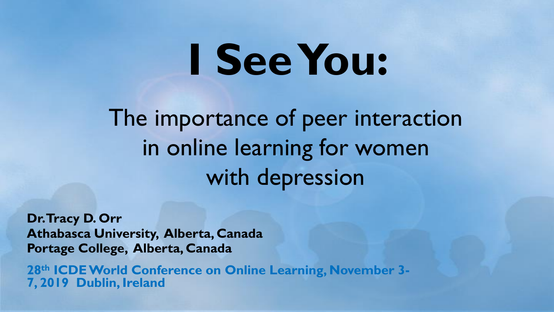# **I See You:**

The importance of peer interaction in online learning for women with depression

**Dr. Tracy D. Orr Athabasca University, Alberta, Canada Portage College, Alberta, Canada**

**28th ICDE World Conference on Online Learning, November 3- 7, 2019 Dublin, Ireland**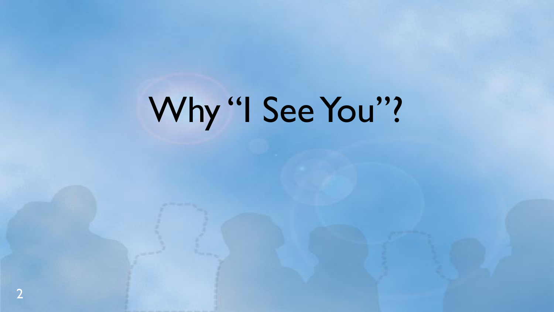# Why "I See You"?

2 2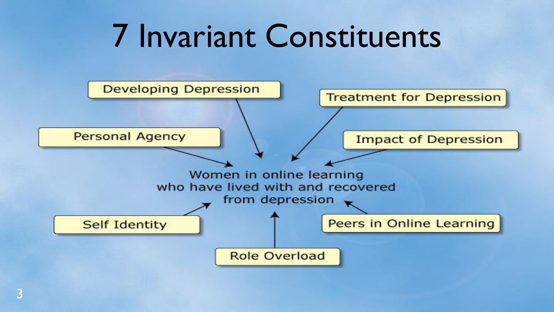#### 7 Invariant Constituents

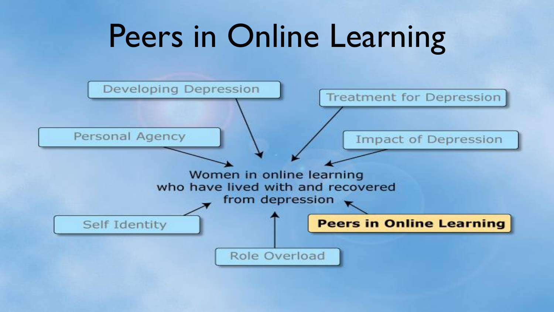#### Peers in Online Learning

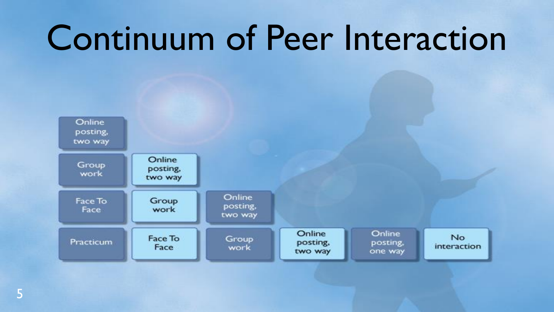### Continuum of Peer Interaction

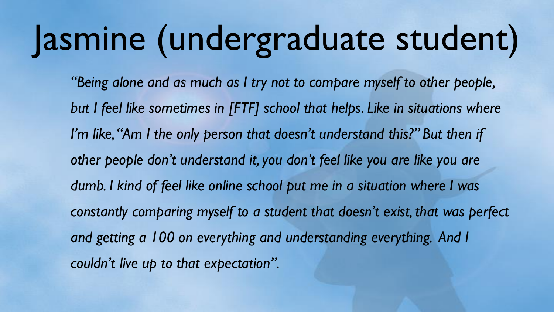# Jasmine (undergraduate student)

*"Being alone and as much as I try not to compare myself to other people, but I feel like sometimes in [FTF] school that helps. Like in situations where I'm like, "Am I the only person that doesn't understand this?" But then if other people don't understand it, you don't feel like you are like you are dumb. I kind of feel like online school put me in a situation where I was constantly comparing myself to a student that doesn't exist, that was perfect and getting a 100 on everything and understanding everything. And I couldn't live up to that expectation".*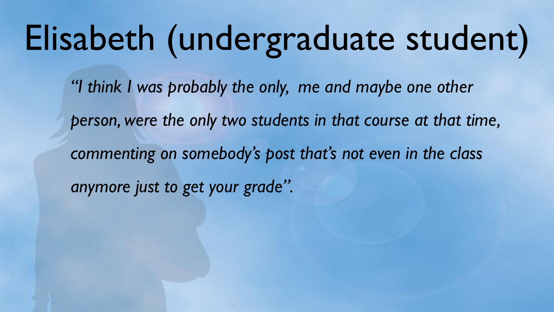### Elisabeth (undergraduate student)

*"I think I was probably the only, me and maybe one other person, were the only two students in that course at that time, commenting on somebody's post that's not even in the class anymore just to get your grade".*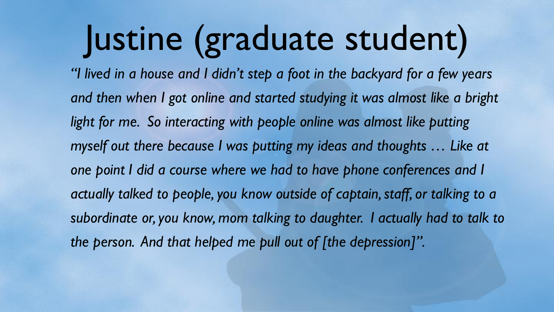## Justine (graduate student)

*"I lived in a house and I didn't step a foot in the backyard for a few years and then when I got online and started studying it was almost like a bright light for me. So interacting with people online was almost like putting myself out there because I was putting my ideas and thoughts … Like at one point I did a course where we had to have phone conferences and I*  actually talked to people, you know outside of captain, staff, or talking to a *subordinate or, you know, mom talking to daughter. I actually had to talk to the person. And that helped me pull out of [the depression]".*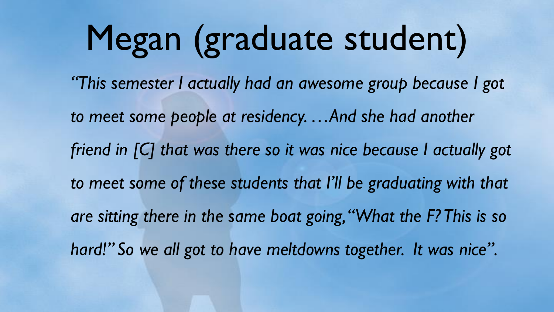# Megan (graduate student)

*"This semester I actually had an awesome group because I got to meet some people at residency. …And she had another friend in [C] that was there so it was nice because I actually got to meet some of these students that I'll be graduating with that are sitting there in the same boat going, "What the F? This is so hard!" So we all got to have meltdowns together. It was nice".*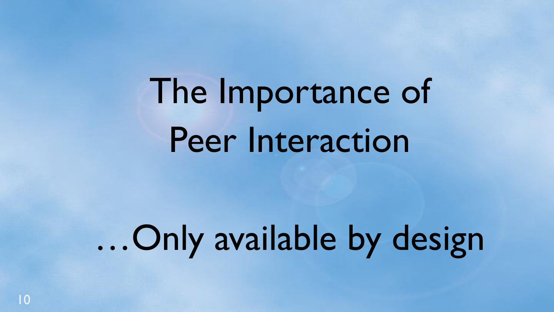The Importance of Peer Interaction

…Only available by design